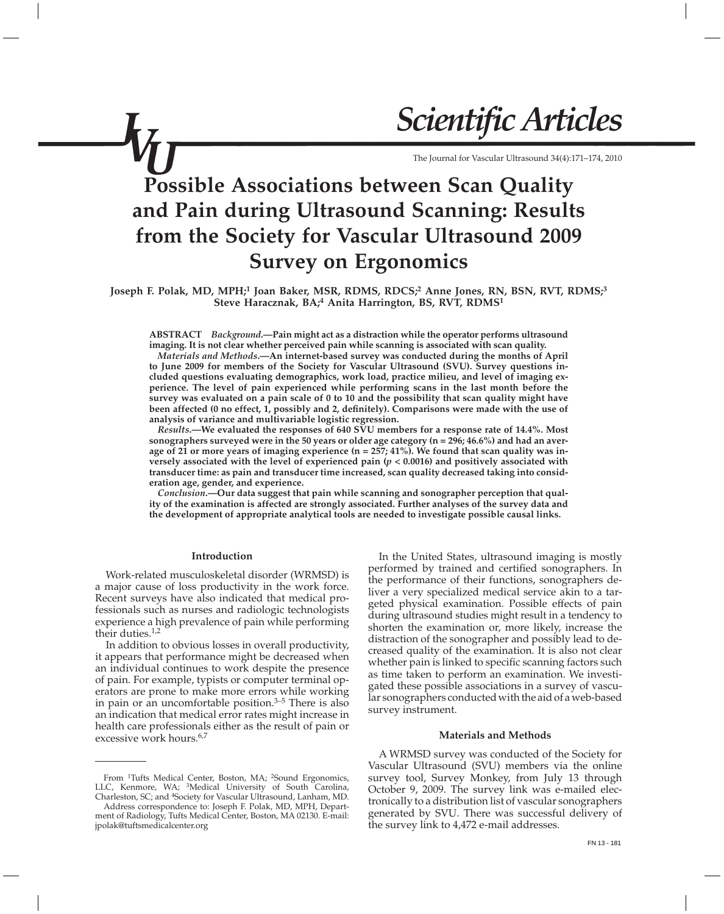

Joseph F. Polak, MD, MPH;<sup>1</sup> Joan Baker, MSR, RDMS, RDCS;<sup>2</sup> Anne Jones, RN, BSN, RVT, RDMS;<sup>3</sup> Steve Haracznak, BA;<sup>4</sup> Anita Harrington, BS, RVT, RDMS<sup>1</sup>

ABSTRACT Background.—Pain might act as a distraction while the operator performs ultrasound imaging. It is not clear whether perceived pain while scanning is associated with scan quality.

Materials and Methods.-An internet-based survey was conducted during the months of April to June 2009 for members of the Society for Vascular Ultrasound (SVU). Survey questions included questions evaluating demographics, work load, practice milieu, and level of imaging experience. The level of pain experienced while performing scans in the last month before the survey was evaluated on a pain scale of 0 to 10 and the possibility that scan quality might have been affected (0 no effect, 1, possibly and 2, definitely). Comparisons were made with the use of analysis of variance and multivariable logistic regression.

Results.-We evaluated the responses of 640 SVU members for a response rate of 14.4%. Most sonographers surveyed were in the 50 years or older age category (n = 296; 46.6%) and had an average of 21 or more years of imaging experience  $(n = 257, 41\%)$ . We found that scan quality was inversely associated with the level of experienced pain  $(p < 0.0016)$  and positively associated with transducer time: as pain and transducer time increased, scan quality decreased taking into consideration age, gender, and experience.

Conclusion.—Our data suggest that pain while scanning and sonographer perception that quality of the examination is affected are strongly associated. Further analyses of the survey data and the development of appropriate analytical tools are needed to investigate possible causal links.

# **Introduction**

Work-related musculoskeletal disorder (WRMSD) is a major cause of loss productivity in the work force. Recent surveys have also indicated that medical professionals such as nurses and radiologic technologists experience a high prevalence of pain while performing their duties.<sup>1,2</sup>

In addition to obvious losses in overall productivity, it appears that performance might be decreased when an individual continues to work despite the presence of pain. For example, typists or computer terminal operators are prone to make more errors while working in pain or an uncomfortable position. $3-5$  There is also an indication that medical error rates might increase in health care professionals either as the result of pain or excessive work hours.<sup>6,7</sup>

From <sup>1</sup>Tufts Medical Center, Boston, MA; <sup>2</sup>Sound Ergonomics, LLC, Kenmore, WA; <sup>3</sup>Medical University of South Carolina, Charleston, SC; and <sup>4</sup>Society for Vascular Ultrasound, Lanham, MD.

In the United States, ultrasound imaging is mostly performed by trained and certified sonographers. In the performance of their functions, sonographers deliver a very specialized medical service akin to a targeted physical examination. Possible effects of pain during ultrasound studies might result in a tendency to shorten the examination or, more likely, increase the distraction of the sonographer and possibly lead to decreased quality of the examination. It is also not clear whether pain is linked to specific scanning factors such as time taken to perform an examination. We investigated these possible associations in a survey of vascular sonographers conducted with the aid of a web-based survey instrument.

## **Materials and Methods**

A WRMSD survey was conducted of the Society for Vascular Ultrasound (SVU) members via the online survey tool, Survey Monkey, from July 13 through October 9, 2009. The survey link was e-mailed electronically to a distribution list of vascular sonographers generated by SVU. There was successful delivery of the survey link to 4,472 e-mail addresses.

Address correspondence to: Joseph F. Polak, MD, MPH, Department of Radiology, Tufts Medical Center, Boston, MA 02130. E-mail: jpolak@tuftsmedicalcenter.org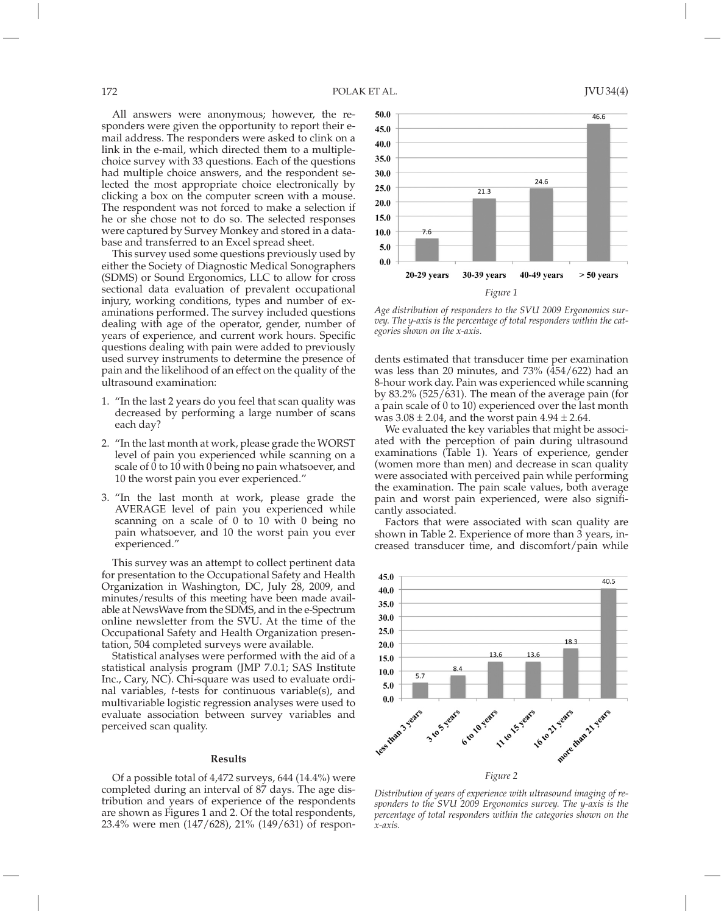All answers were anonymous; however, the responders were given the opportunity to report their email address. The responders were asked to clink on a link in the e-mail, which directed them to a multiplechoice survey with 33 questions. Each of the questions had multiple choice answers, and the respondent selected the most appropriate choice electronically by clicking a box on the computer screen with a mouse. The respondent was not forced to make a selection if he or she chose not to do so. The selected responses were captured by Survey Monkey and stored in a database and transferred to an Excel spread sheet.

This survey used some questions previously used by either the Society of Diagnostic Medical Sonographers (SDMS) or Sound Ergonomics, LLC to allow for cross sectional data evaluation of prevalent occupational injury, working conditions, types and number of examinations performed. The survey included questions dealing with age of the operator, gender, number of years of experience, and current work hours. Specific questions dealing with pain were added to previously used survey instruments to determine the presence of pain and the likelihood of an effect on the quality of the ultrasound examination:

- 1. "In the last 2 years do you feel that scan quality was decreased by performing a large number of scans each day?
- 2. "In the last month at work, please grade the WORST level of pain you experienced while scanning on a scale of 0 to 10 with 0 being no pain whatsoever, and 10 the worst pain you ever experienced."
- 3. "In the last month at work, please grade the AVERAGE level of pain you experienced while scanning on a scale of 0 to 10 with 0 being no pain whatsoever, and 10 the worst pain you ever experienced."

This survey was an attempt to collect pertinent data for presentation to the Occupational Safety and Health Organization in Washington, DC, July 28, 2009, and minutes/results of this meeting have been made available at NewsWave from the SDMS, and in the e-Spectrum online newsletter from the SVU. At the time of the Occupational Safety and Health Organization presentation, 504 completed surveys were available.

Statistical analyses were performed with the aid of a statistical analysis program (JMP 7.0.1; SAS Institute Inc., Cary, NC). Chi-square was used to evaluate ordinal variables, *t*-tests for continuous variable(s), and multivariable logistic regression analyses were used to evaluate association between survey variables and perceived scan quality.

### **Results**

Of a possible total of 4,472 surveys, 644 (14.4%) were completed during an interval of 87 days. The age distribution and years of experience of the respondents are shown as Figures 1 and 2. Of the total respondents, 23.4% were men (147/628), 21% (149/631) of respon-



Age distribution of responders to the SVU 2009 Ergonomics survey. The y-axis is the percentage of total responders within the categories shown on the x-axis.

dents estimated that transducer time per examination was less than 20 minutes, and  $73\%$  ( $\overline{4}54/622$ ) had an 8-hour work day. Pain was experienced while scanning by  $83.2\%$  (525/631). The mean of the average pain (for a pain scale of 0 to 10) experienced over the last month was  $3.08 \pm 2.04$ , and the worst pain  $4.94 \pm 2.64$ .

We evaluated the key variables that might be associated with the perception of pain during ultrasound examinations (Table 1). Years of experience, gender (women more than men) and decrease in scan quality were associated with perceived pain while performing the examination. The pain scale values, both average pain and worst pain experienced, were also significantly associated.

Factors that were associated with scan quality are shown in Table 2. Experience of more than 3 years, increased transducer time, and discomfort/pain while



Distribution of years of experience with ultrasound imaging of responders to the SVU 2009 Ergonomics survey. The y-axis is the percentage of total responders within the categories shown on the  $x$ -axis.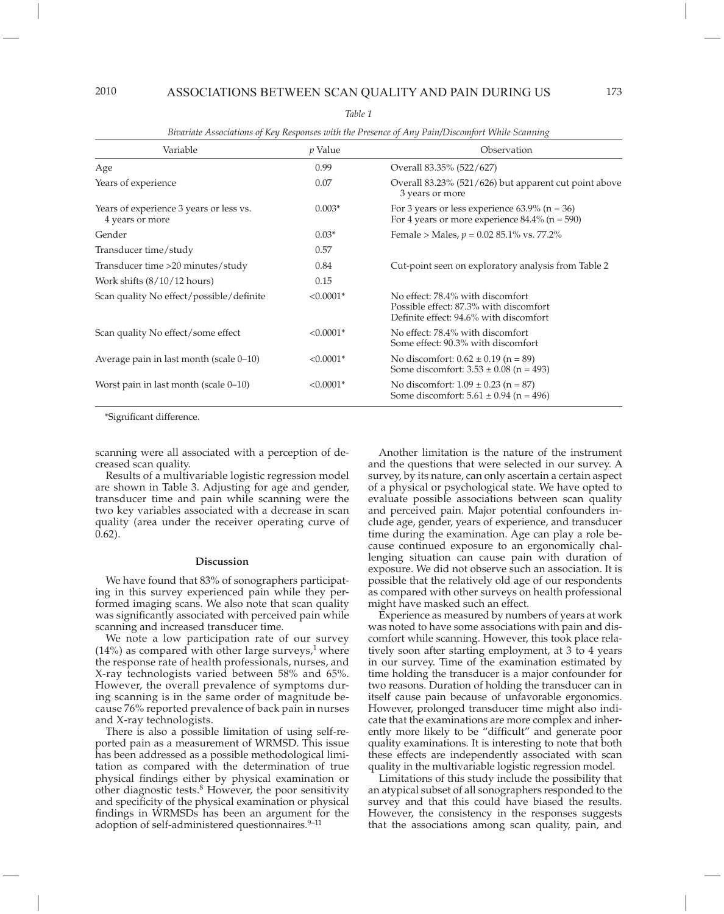Table 1

| Variable                                                   | <i>p</i> Value | Observation                                                                                                          |
|------------------------------------------------------------|----------------|----------------------------------------------------------------------------------------------------------------------|
| Age                                                        | 0.99           | Overall 83.35% (522/627)                                                                                             |
| Years of experience                                        | 0.07           | Overall 83.23% (521/626) but apparent cut point above<br>3 years or more                                             |
| Years of experience 3 years or less vs.<br>4 years or more | $0.003*$       | For 3 years or less experience 63.9% ( $n = 36$ )<br>For 4 years or more experience $84.4\%$ (n = 590)               |
| Gender                                                     | $0.03*$        | Female > Males, $p = 0.0285.1\%$ vs. 77.2%                                                                           |
| Transducer time/study                                      | 0.57           |                                                                                                                      |
| Transducer time >20 minutes/study                          | 0.84           | Cut-point seen on exploratory analysis from Table 2                                                                  |
| Work shifts $(8/10/12$ hours)                              | 0.15           |                                                                                                                      |
| Scan quality No effect/possible/definite                   | $< 0.0001*$    | No effect: 78.4% with discomfort<br>Possible effect: 87.3% with discomfort<br>Definite effect: 94.6% with discomfort |
| Scan quality No effect/some effect                         | $< 0.0001*$    | No effect: 78.4% with discomfort<br>Some effect: 90.3% with discomfort                                               |
| Average pain in last month (scale 0-10)                    | $< 0.0001*$    | No discomfort: $0.62 \pm 0.19$ (n = 89)<br>Some discomfort: $3.53 \pm 0.08$ (n = 493)                                |
| Worst pain in last month (scale 0–10)                      | $< 0.0001*$    | No discomfort: $1.09 \pm 0.23$ (n = 87)<br>Some discomfort: $5.61 \pm 0.94$ (n = 496)                                |

Bivariate Associations of Key Responses with the Presence of Any Pain/Discomfort While Scanning

\*Significant difference.

scanning were all associated with a perception of decreased scan quality.

Results of a multivariable logistic regression model are shown in Table 3. Adjusting for age and gender, transducer time and pain while scanning were the two key variables associated with a decrease in scan quality (area under the receiver operating curve of  $(0.62)$ .

## **Discussion**

We have found that 83% of sonographers participating in this survey experienced pain while they performed imaging scans. We also note that scan quality was significantly associated with perceived pain while scanning and increased transducer time.

We note a low participation rate of our survey  $(14\%)$  as compared with other large surveys,<sup>1</sup> where the response rate of health professionals, nurses, and X-ray technologists varied between 58% and 65%. However, the overall prevalence of symptoms during scanning is in the same order of magnitude because 76% reported prevalence of back pain in nurses and X-ray technologists.

There is also a possible limitation of using self-reported pain as a measurement of WRMSD. This issue has been addressed as a possible methodological limitation as compared with the determination of true physical findings either by physical examination or other diagnostic tests.<sup>8</sup> However, the poor sensitivity and specificity of the physical examination or physical findings in WRMSDs has been an argument for the adoption of self-administered questionnaires.<sup>9-11</sup>

Another limitation is the nature of the instrument and the questions that were selected in our survey. A survey, by its nature, can only ascertain a certain aspect of a physical or psychological state. We have opted to evaluate possible associations between scan quality and perceived pain. Major potential confounders include age, gender, years of experience, and transducer time during the examination. Age can play a role because continued exposure to an ergonomically challenging situation can cause pain with duration of exposure. We did not observe such an association. It is possible that the relatively old age of our respondents as compared with other surveys on health professional might have masked such an effect.

Experience as measured by numbers of years at work was noted to have some associations with pain and discomfort while scanning. However, this took place relatively soon after starting employment, at 3 to 4 years in our survey. Time of the examination estimated by time holding the transducer is a major confounder for two reasons. Duration of holding the transducer can in itself cause pain because of unfavorable ergonomics. However, prolonged transducer time might also indicate that the examinations are more complex and inherently more likely to be "difficult" and generate poor quality examinations. It is interesting to note that both these effects are independently associated with scan quality in the multivariable logistic regression model.

Limitations of this study include the possibility that an atypical subset of all sonographers responded to the survey and that this could have biased the results. However, the consistency in the responses suggests that the associations among scan quality, pain, and